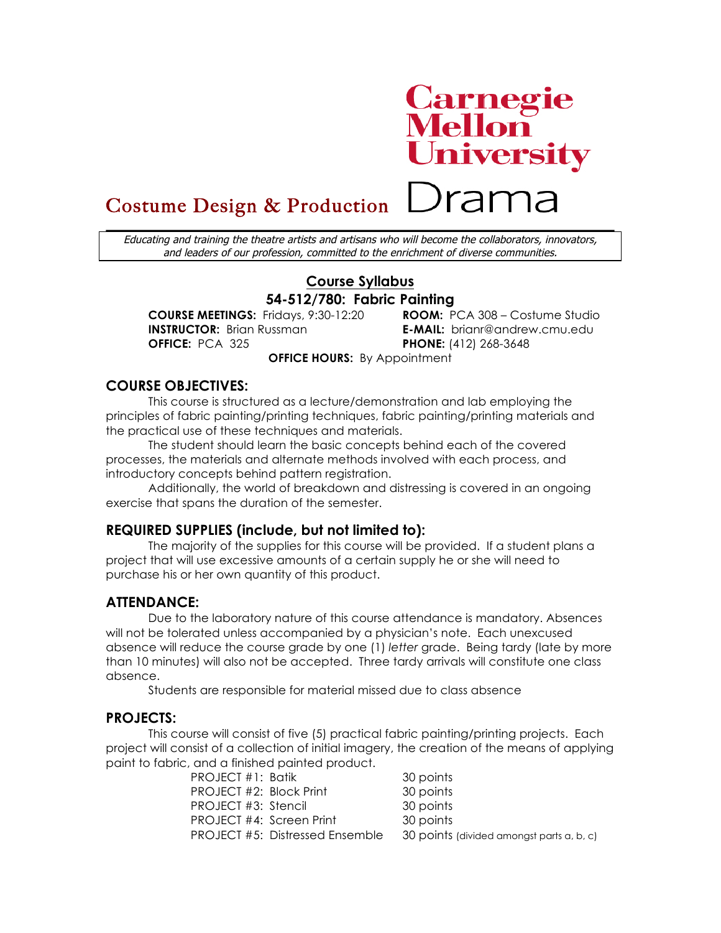# **Carnegie<br>Mellon<br>University**

Drama

# Costume Design & Production

Educating and training the theatre artists and artisans who will become the collaborators, innovators, and leaders of our profession, committed to the enrichment of diverse communities.

# **Course Syllabus 54-512/780: Fabric Painting**

**COURSE MEETINGS:** Fridays, 9:30-12:20 **ROOM:** PCA 308 – Costume Studio **INSTRUCTOR:** Brian Russman **E-MAIL:** brianr@andrew.cmu.edu **OFFICE:** PCA 325 **PHONE:** (412) 268-3648

**OFFICE HOURS:** By Appointment

# **COURSE OBJECTIVES:**

This course is structured as a lecture/demonstration and lab employing the principles of fabric painting/printing techniques, fabric painting/printing materials and the practical use of these techniques and materials.

The student should learn the basic concepts behind each of the covered processes, the materials and alternate methods involved with each process, and introductory concepts behind pattern registration.

Additionally, the world of breakdown and distressing is covered in an ongoing exercise that spans the duration of the semester.

# **REQUIRED SUPPLIES (include, but not limited to):**

The majority of the supplies for this course will be provided. If a student plans a project that will use excessive amounts of a certain supply he or she will need to purchase his or her own quantity of this product.

# **ATTENDANCE:**

Due to the laboratory nature of this course attendance is mandatory. Absences will not be tolerated unless accompanied by a physician's note. Each unexcused absence will reduce the course grade by one (1) *letter* grade. Being tardy (late by more than 10 minutes) will also not be accepted. Three tardy arrivals will constitute one class absence.

Students are responsible for material missed due to class absence

# **PROJECTS:**

This course will consist of five (5) practical fabric painting/printing projects. Each project will consist of a collection of initial imagery, the creation of the means of applying paint to fabric, and a finished painted product.

| 30 points                                                                                                                                 |
|-------------------------------------------------------------------------------------------------------------------------------------------|
| 30 points                                                                                                                                 |
| 30 points                                                                                                                                 |
| 30 points                                                                                                                                 |
| 30 points (divided amongst parts a, b, c)                                                                                                 |
| PROJECT #1: Batik<br>PROJECT #2: Block Print<br>PROJECT #3: Stencil<br>PROJECT #4: Screen Print<br><b>PROJECT #5: Distressed Ensemble</b> |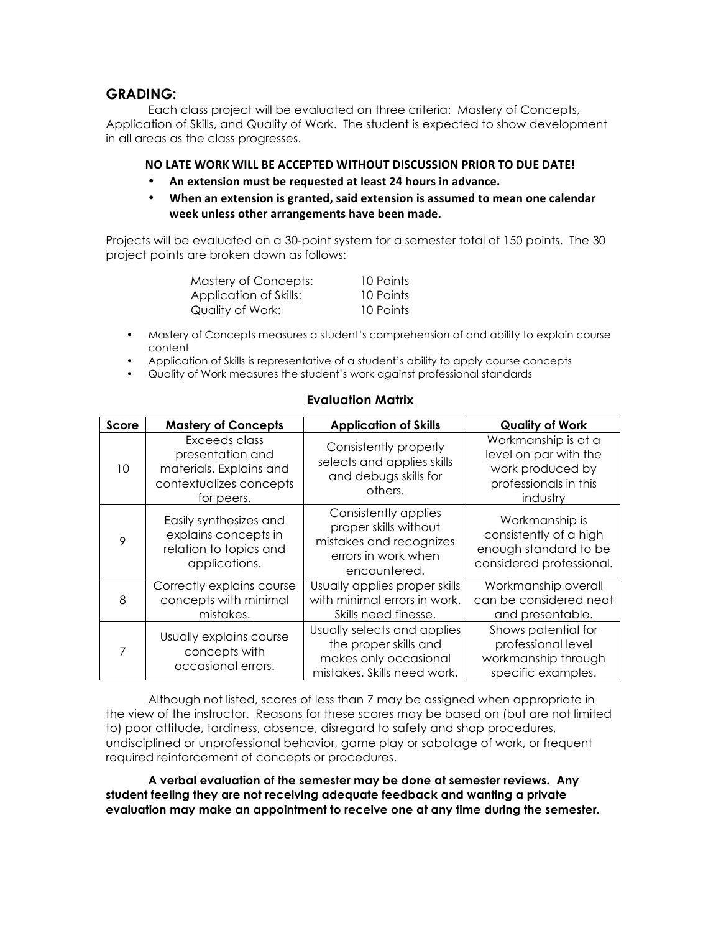# **GRADING:**

Each class project will be evaluated on three criteria: Mastery of Concepts, Application of Skills, and Quality of Work. The student is expected to show development in all areas as the class progresses.

#### **NO LATE WORK WILL BE ACCEPTED WITHOUT DISCUSSION PRIOR TO DUE DATE!**

- An extension must be requested at least 24 hours in advance.
- **When an extension is granted, said extension is assumed to mean one calendar** week unless other arrangements have been made.

Projects will be evaluated on a 30-point system for a semester total of 150 points. The 30 project points are broken down as follows:

| Mastery of Concepts:   | 10 Points |
|------------------------|-----------|
| Application of Skills: | 10 Points |
| Quality of Work:       | 10 Points |

- Mastery of Concepts measures a student's comprehension of and ability to explain course content
- Application of Skills is representative of a student's ability to apply course concepts
- Quality of Work measures the student's work against professional standards

|  |  | <b>Evaluation Matrix</b> |  |
|--|--|--------------------------|--|
|--|--|--------------------------|--|

| <b>Score</b> | <b>Mastery of Concepts</b>                                                                            | <b>Application of Skills</b>                                                                                    | <b>Quality of Work</b>                                                                                |
|--------------|-------------------------------------------------------------------------------------------------------|-----------------------------------------------------------------------------------------------------------------|-------------------------------------------------------------------------------------------------------|
| 10           | Exceeds class<br>presentation and<br>materials. Explains and<br>contextualizes concepts<br>for peers. | Consistently properly<br>selects and applies skills<br>and debugs skills for<br>others.                         | Workmanship is at a<br>level on par with the<br>work produced by<br>professionals in this<br>industry |
| 9            | Easily synthesizes and<br>explains concepts in<br>relation to topics and<br>applications.             | Consistently applies<br>proper skills without<br>mistakes and recognizes<br>errors in work when<br>encountered. | Workmanship is<br>consistently of a high<br>enough standard to be<br>considered professional.         |
| 8            | Correctly explains course<br>concepts with minimal<br>mistakes.                                       | Usually applies proper skills<br>with minimal errors in work.<br>Skills need finesse.                           | Workmanship overall<br>can be considered neat<br>and presentable.                                     |
| 7            | Usually explains course<br>concepts with<br>occasional errors.                                        | Usually selects and applies<br>the proper skills and<br>makes only occasional<br>mistakes. Skills need work.    | Shows potential for<br>professional level<br>workmanship through<br>specific examples.                |

Although not listed, scores of less than 7 may be assigned when appropriate in the view of the instructor. Reasons for these scores may be based on (but are not limited to) poor attitude, tardiness, absence, disregard to safety and shop procedures, undisciplined or unprofessional behavior, game play or sabotage of work, or frequent required reinforcement of concepts or procedures.

**A verbal evaluation of the semester may be done at semester reviews. Any student feeling they are not receiving adequate feedback and wanting a private evaluation may make an appointment to receive one at any time during the semester.**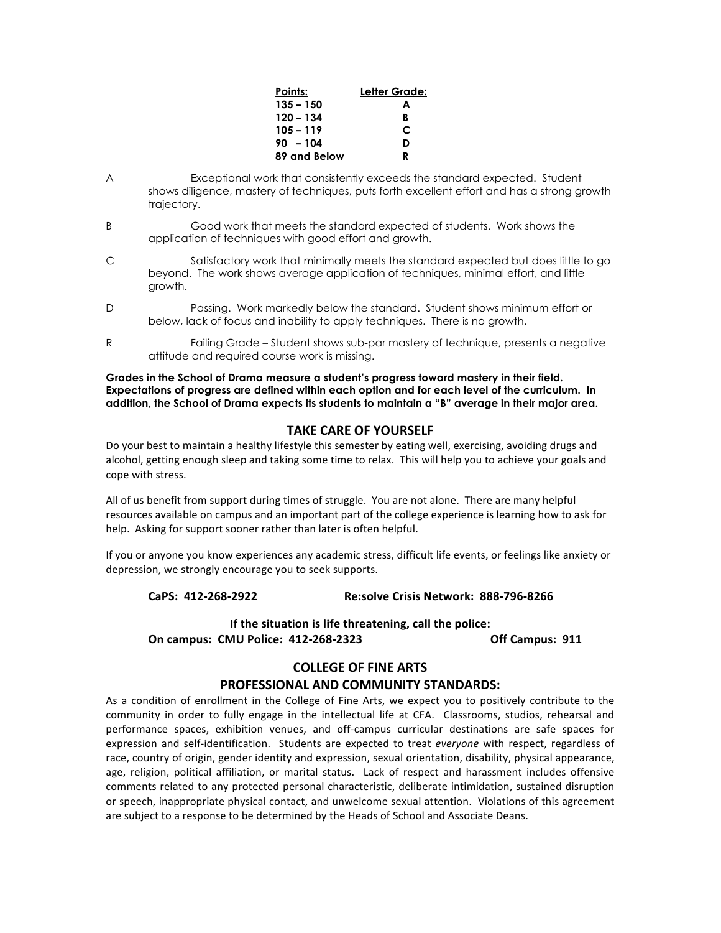| Points:      | Letter Grade: |
|--------------|---------------|
| $135 - 150$  | А             |
| 120 – 134    | B             |
| $105 - 119$  | C             |
| $90 - 104$   | D             |
| 89 and Below | R             |

- A Exceptional work that consistently exceeds the standard expected. Student shows diligence, mastery of techniques, puts forth excellent effort and has a strong growth trajectory.
- B Good work that meets the standard expected of students. Work shows the application of techniques with good effort and growth.
- C Satisfactory work that minimally meets the standard expected but does little to go beyond. The work shows average application of techniques, minimal effort, and little growth.
- D Passing. Work markedly below the standard. Student shows minimum effort or below, lack of focus and inability to apply techniques. There is no growth.
- R Failing Grade Student shows sub-par mastery of technique, presents a negative attitude and required course work is missing.

**Grades in the School of Drama measure a student's progress toward mastery in their field. Expectations of progress are defined within each option and for each level of the curriculum. In addition, the School of Drama expects its students to maintain a "B" average in their major area.**

#### **TAKE CARE OF YOURSELF**

Do your best to maintain a healthy lifestyle this semester by eating well, exercising, avoiding drugs and alcohol, getting enough sleep and taking some time to relax. This will help you to achieve your goals and cope with stress.

All of us benefit from support during times of struggle. You are not alone. There are many helpful resources available on campus and an important part of the college experience is learning how to ask for help. Asking for support sooner rather than later is often helpful.

If you or anyone you know experiences any academic stress, difficult life events, or feelings like anxiety or depression, we strongly encourage you to seek supports.

#### **CaPS: 412-268-2922 Re:solve Crisis Network: 888-796-8266**

# **If the situation is life threatening, call the police: On campus: CMU Police: 412-268-2323 Off Campus: 911**

#### **COLLEGE OF FINE ARTS PROFESSIONAL AND COMMUNITY STANDARDS:**

### As a condition of enrollment in the College of Fine Arts, we expect you to positively contribute to the community in order to fully engage in the intellectual life at CFA. Classrooms, studios, rehearsal and performance spaces, exhibition venues, and off-campus curricular destinations are safe spaces for expression and self-identification. Students are expected to treat *everyone* with respect, regardless of race, country of origin, gender identity and expression, sexual orientation, disability, physical appearance, age, religion, political affiliation, or marital status. Lack of respect and harassment includes offensive comments related to any protected personal characteristic, deliberate intimidation, sustained disruption or speech, inappropriate physical contact, and unwelcome sexual attention. Violations of this agreement are subject to a response to be determined by the Heads of School and Associate Deans.